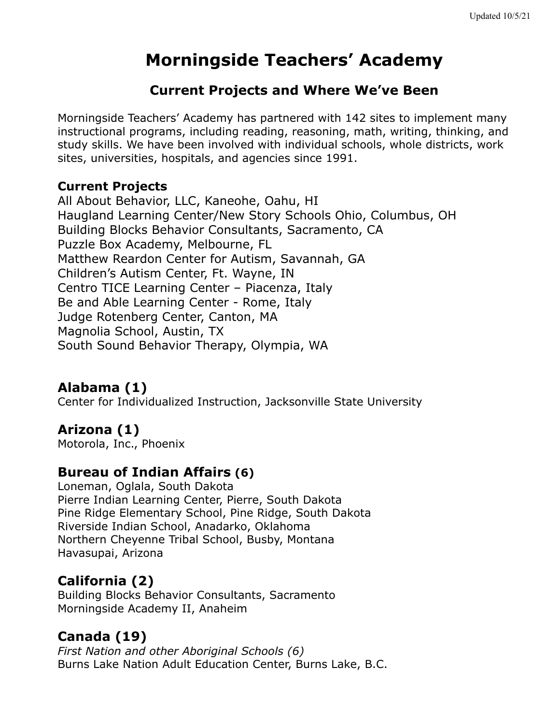# **Morningside Teachers' Academy**

## **Current Projects and Where We've Been**

Morningside Teachers' Academy has partnered with 142 sites to implement many instructional programs, including reading, reasoning, math, writing, thinking, and study skills. We have been involved with individual schools, whole districts, work sites, universities, hospitals, and agencies since 1991.

#### **Current Projects**

All About Behavior, LLC, Kaneohe, Oahu, HI Haugland Learning Center/New Story Schools Ohio, Columbus, OH Building Blocks Behavior Consultants, Sacramento, CA Puzzle Box Academy, Melbourne, FL Matthew Reardon Center for Autism, Savannah, GA Children's Autism Center, Ft. Wayne, IN Centro TICE Learning Center – Piacenza, Italy Be and Able Learning Center - Rome, Italy Judge Rotenberg Center, Canton, MA Magnolia School, Austin, TX South Sound Behavior Therapy, Olympia, WA

## **Alabama (1)**

Center for Individualized Instruction, Jacksonville State University

## **Arizona (1)**

Motorola, Inc., Phoenix

## **Bureau of Indian Affairs (6)**

Loneman, Oglala, South Dakota Pierre Indian Learning Center, Pierre, South Dakota Pine Ridge Elementary School, Pine Ridge, South Dakota Riverside Indian School, Anadarko, Oklahoma Northern Cheyenne Tribal School, Busby, Montana Havasupai, Arizona

## **California (2)**

Building Blocks Behavior Consultants, Sacramento Morningside Academy II, Anaheim

## **Canada (19)**

*First Nation and other Aboriginal Schools (6)* Burns Lake Nation Adult Education Center, Burns Lake, B.C.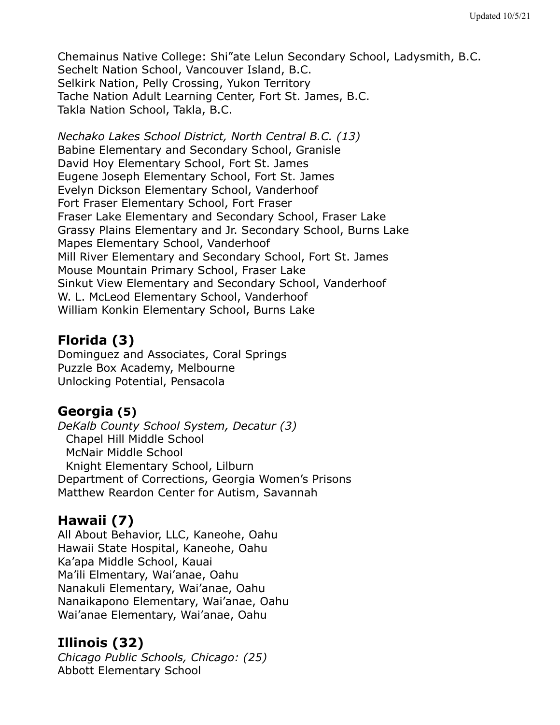Chemainus Native College: Shi"ate Lelun Secondary School, Ladysmith, B.C. Sechelt Nation School, Vancouver Island, B.C. Selkirk Nation, Pelly Crossing, Yukon Territory Tache Nation Adult Learning Center, Fort St. James, B.C. Takla Nation School, Takla, B.C.

*Nechako Lakes School District, North Central B.C. (13)* Babine Elementary and Secondary School, Granisle David Hoy Elementary School, Fort St. James Eugene Joseph Elementary School, Fort St. James Evelyn Dickson Elementary School, Vanderhoof Fort Fraser Elementary School, Fort Fraser Fraser Lake Elementary and Secondary School, Fraser Lake Grassy Plains Elementary and Jr. Secondary School, Burns Lake Mapes Elementary School, Vanderhoof Mill River Elementary and Secondary School, Fort St. James Mouse Mountain Primary School, Fraser Lake Sinkut View Elementary and Secondary School, Vanderhoof W. L. McLeod Elementary School, Vanderhoof William Konkin Elementary School, Burns Lake

## **Florida (3)**

Dominguez and Associates, Coral Springs Puzzle Box Academy, Melbourne Unlocking Potential, Pensacola

## **Georgia (5)**

*DeKalb County School System, Decatur (3)* Chapel Hill Middle School McNair Middle School Knight Elementary School, Lilburn Department of Corrections, Georgia Women's Prisons Matthew Reardon Center for Autism, Savannah

## **Hawaii (7)**

All About Behavior, LLC, Kaneohe, Oahu Hawaii State Hospital, Kaneohe, Oahu Ka'apa Middle School, Kauai Ma'ili Elmentary, Wai'anae, Oahu Nanakuli Elementary, Wai'anae, Oahu Nanaikapono Elementary, Wai'anae, Oahu Wai'anae Elementary, Wai'anae, Oahu

## **Illinois (32)**

*Chicago Public Schools, Chicago: (25)* Abbott Elementary School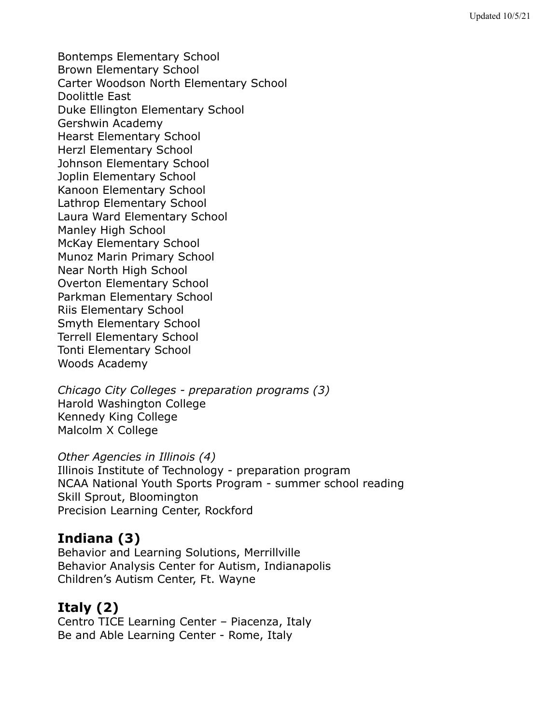Bontemps Elementary School Brown Elementary School Carter Woodson North Elementary School Doolittle East Duke Ellington Elementary School Gershwin Academy Hearst Elementary School Herzl Elementary School Johnson Elementary School Joplin Elementary School Kanoon Elementary School Lathrop Elementary School Laura Ward Elementary School Manley High School McKay Elementary School Munoz Marin Primary School Near North High School Overton Elementary School Parkman Elementary School Riis Elementary School Smyth Elementary School Terrell Elementary School Tonti Elementary School Woods Academy

*Chicago City Colleges - preparation programs (3)* Harold Washington College Kennedy King College Malcolm X College

#### *Other Agencies in Illinois (4)*

Illinois Institute of Technology - preparation program NCAA National Youth Sports Program - summer school reading Skill Sprout, Bloomington Precision Learning Center, Rockford

## **Indiana (3)**

Behavior and Learning Solutions, Merrillville Behavior Analysis Center for Autism, Indianapolis Children's Autism Center, Ft. Wayne

## **Italy (2)**

Centro TICE Learning Center – Piacenza, Italy Be and Able Learning Center - Rome, Italy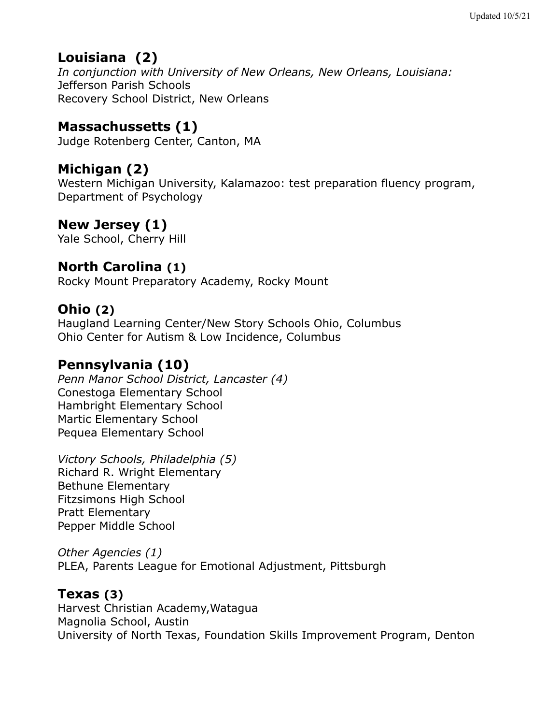## **Louisiana (2)**

*In conjunction with University of New Orleans, New Orleans, Louisiana:* Jefferson Parish Schools Recovery School District, New Orleans

## **Massachussetts (1)**

Judge Rotenberg Center, Canton, MA

## **Michigan (2)**

Western Michigan University, Kalamazoo: test preparation fluency program, Department of Psychology

## **New Jersey (1)**

Yale School, Cherry Hill

## **North Carolina (1)**

Rocky Mount Preparatory Academy, Rocky Mount

## **Ohio (2)**

Haugland Learning Center/New Story Schools Ohio, Columbus Ohio Center for Autism & Low Incidence, Columbus

## **Pennsylvania (10)**

*Penn Manor School District, Lancaster (4)* Conestoga Elementary School Hambright Elementary School Martic Elementary School Pequea Elementary School

*Victory Schools, Philadelphia (5)* Richard R. Wright Elementary Bethune Elementary Fitzsimons High School Pratt Elementary Pepper Middle School

*Other Agencies (1)* PLEA, Parents League for Emotional Adjustment, Pittsburgh

#### **Texas (3)**

Harvest Christian Academy,Watagua Magnolia School, Austin University of North Texas, Foundation Skills Improvement Program, Denton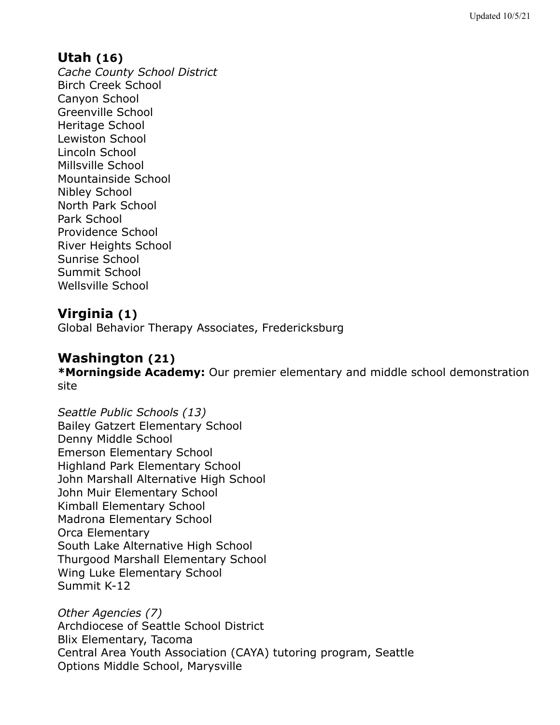### **Utah (16)**

*Cache County School District* Birch Creek School Canyon School Greenville School Heritage School Lewiston School Lincoln School Millsville School Mountainside School Nibley School North Park School Park School Providence School River Heights School Sunrise School Summit School Wellsville School

#### **Virginia (1)**

Global Behavior Therapy Associates, Fredericksburg

### **Washington (21)**

**\*Morningside Academy:** Our premier elementary and middle school demonstration site

*Seattle Public Schools (13)* Bailey Gatzert Elementary School Denny Middle School Emerson Elementary School Highland Park Elementary School John Marshall Alternative High School John Muir Elementary School Kimball Elementary School Madrona Elementary School Orca Elementary South Lake Alternative High School Thurgood Marshall Elementary School Wing Luke Elementary School Summit K-12

*Other Agencies (7)* Archdiocese of Seattle School District Blix Elementary, Tacoma Central Area Youth Association (CAYA) tutoring program, Seattle Options Middle School, Marysville